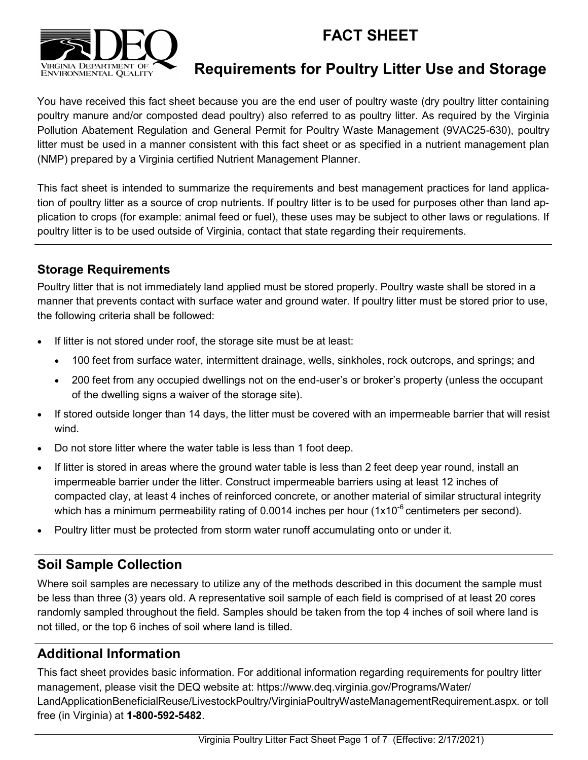# **FACT SHEET**



# **Requirements for Poultry Litter Use and Storage**

You have received this fact sheet because you are the end user of poultry waste (dry poultry litter containing poultry manure and/or composted dead poultry) also referred to as poultry litter. As required by the Virginia Pollution Abatement Regulation and General Permit for Poultry Waste Management (9VAC25-630), poultry litter must be used in a manner consistent with this fact sheet or as specified in a nutrient management plan (NMP) prepared by a Virginia certified Nutrient Management Planner.

This fact sheet is intended to summarize the requirements and best management practices for land application of poultry litter as a source of crop nutrients. If poultry litter is to be used for purposes other than land application to crops (for example: animal feed or fuel), these uses may be subject to other laws or regulations. If poultry litter is to be used outside of Virginia, contact that state regarding their requirements.

## **Storage Requirements**

Poultry litter that is not immediately land applied must be stored properly. Poultry waste shall be stored in a manner that prevents contact with surface water and ground water. If poultry litter must be stored prior to use, the following criteria shall be followed:

- If litter is not stored under roof, the storage site must be at least:
	- 100 feet from surface water, intermittent drainage, wells, sinkholes, rock outcrops, and springs; and
	- 200 feet from any occupied dwellings not on the end-user's or broker's property (unless the occupant of the dwelling signs a waiver of the storage site).
- If stored outside longer than 14 days, the litter must be covered with an impermeable barrier that will resist wind.
- Do not store litter where the water table is less than 1 foot deep.
- If litter is stored in areas where the ground water table is less than 2 feet deep year round, install an impermeable barrier under the litter. Construct impermeable barriers using at least 12 inches of compacted clay, at least 4 inches of reinforced concrete, or another material of similar structural integrity which has a minimum permeability rating of 0.0014 inches per hour  $(1x10^{-6}$  centimeters per second).
- Poultry litter must be protected from storm water runoff accumulating onto or under it.

## **Soil Sample Collection**

Where soil samples are necessary to utilize any of the methods described in this document the sample must be less than three (3) years old. A representative soil sample of each field is comprised of at least 20 cores randomly sampled throughout the field. Samples should be taken from the top 4 inches of soil where land is not tilled, or the top 6 inches of soil where land is tilled.

# **Additional Information**

This fact sheet provides basic information. For additional information regarding requirements for poultry litter management, please visit the DEQ website at: https://www.deq.virginia.gov/Programs/Water/ LandApplicationBeneficialReuse/LivestockPoultry/VirginiaPoultryWasteManagementRequirement.aspx. or toll free (in Virginia) at **1-800-592-5482**.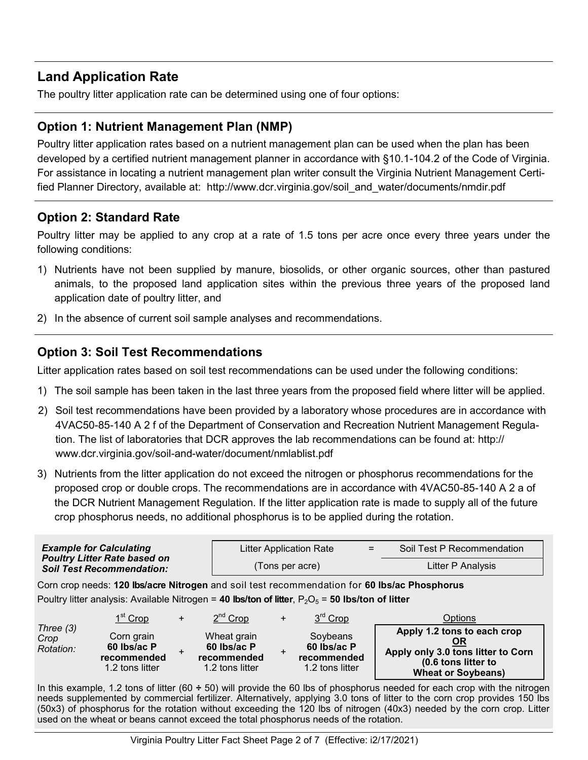## **Land Application Rate**

The poultry litter application rate can be determined using one of four options:

## **Option 1: Nutrient Management Plan (NMP)**

Poultry litter application rates based on a nutrient management plan can be used when the plan has been developed by a certified nutrient management planner in accordance with §10.1-104.2 of the Code of Virginia. For assistance in locating a nutrient management plan writer consult the Virginia Nutrient Management Certified Planner Directory, available at: http://www.dcr.virginia.gov/soil\_and\_water/documents/nmdir.pdf

## **Option 2: Standard Rate**

Poultry litter may be applied to any crop at a rate of 1.5 tons per acre once every three years under the following conditions:

- 1) Nutrients have not been supplied by manure, biosolids, or other organic sources, other than pastured animals, to the proposed land application sites within the previous three years of the proposed land application date of poultry litter, and
- 2) In the absence of current soil sample analyses and recommendations.

## **Option 3: Soil Test Recommendations**

Litter application rates based on soil test recommendations can be used under the following conditions:

- 1) The soil sample has been taken in the last three years from the proposed field where litter will be applied.
- 2) Soil test recommendations have been provided by a laboratory whose procedures are in accordance with 4VAC50-85-140 A 2 f of the Department of Conservation and Recreation Nutrient Management Regulation. The list of laboratories that DCR approves the lab recommendations can be found at: http:// www.dcr.virginia.gov/soil-and-water/document/nmlablist.pdf
- 3) Nutrients from the litter application do not exceed the nitrogen or phosphorus recommendations for the proposed crop or double crops. The recommendations are in accordance with 4VAC50-85-140 A 2 a of the DCR Nutrient Management Regulation. If the litter application rate is made to supply all of the future crop phosphorus needs, no additional phosphorus is to be applied during the rotation.

|                                                                                                                                                                                                     | <b>Example for Calculating</b><br><b>Poultry Litter Rate based on</b><br><b>Soil Test Recommendation:</b> |           |                                                                   |           | <b>Litter Application Rate</b><br>(Tons per acre)              | $=$ | Soil Test P Recommendation<br>Litter P Analysis                                                                                                                                    |  |  |  |  |
|-----------------------------------------------------------------------------------------------------------------------------------------------------------------------------------------------------|-----------------------------------------------------------------------------------------------------------|-----------|-------------------------------------------------------------------|-----------|----------------------------------------------------------------|-----|------------------------------------------------------------------------------------------------------------------------------------------------------------------------------------|--|--|--|--|
| Corn crop needs: 120 lbs/acre Nitrogen and soil test recommendation for 60 lbs/ac Phosphorus<br>Poultry litter analysis: Available Nitrogen = 40 lbs/ton of litter, $P_2O_5$ = 50 lbs/ton of litter |                                                                                                           |           |                                                                   |           |                                                                |     |                                                                                                                                                                                    |  |  |  |  |
| Three $(3)$<br>Crop<br>Rotation:                                                                                                                                                                    | 1 <sup>st</sup> Crop<br>Corn grain<br>60 lbs/ac P<br>recommended                                          | $\ddot{}$ | 2 <sup>nd</sup> Crop<br>Wheat grain<br>60 lbs/ac P<br>recommended | $\ddot{}$ | 3 <sup>rd</sup> Crop<br>Soybeans<br>60 lbs/ac P<br>recommended |     | Options<br>Apply 1.2 tons to each crop<br>ΟR<br>Apply only 3.0 tons litter to Corn                                                                                                 |  |  |  |  |
|                                                                                                                                                                                                     | 1.2 tons litter                                                                                           |           | 1.2 tons litter                                                   |           | 1.2 tons litter                                                |     | (0.6 tons litter to<br><b>Wheat or Soybeans)</b><br>In this example 1.2 tons of litter $(60 \div 50)$ will provide the 60 lbs of phosphorus needed for each crop with the pitroger |  |  |  |  |

In this example, 1.2 tons of litter (60 **÷** 50) will provide the 60 lbs of phosphorus needed for each crop with the nitrogen needs supplemented by commercial fertilizer. Alternatively, applying 3.0 tons of litter to the corn crop provides 150 lbs (50x3) of phosphorus for the rotation without exceeding the 120 lbs of nitrogen (40x3) needed by the corn crop. Litter used on the wheat or beans cannot exceed the total phosphorus needs of the rotation.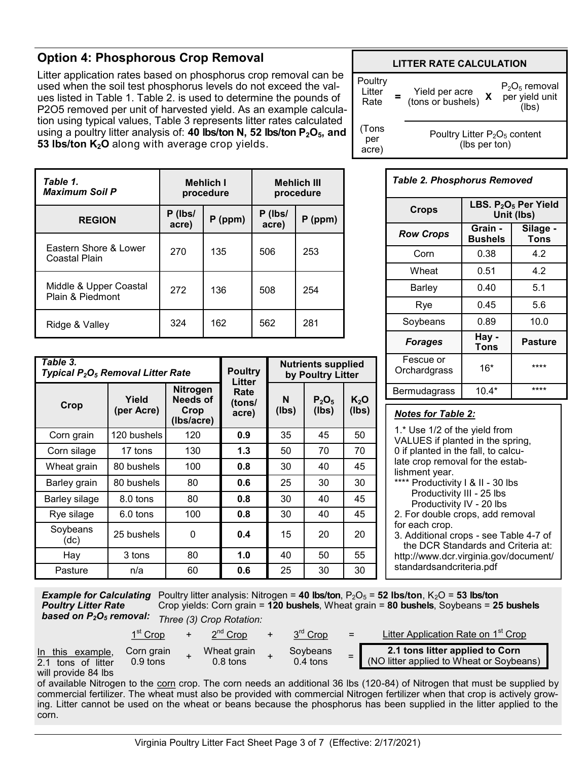## **Option 4: Phosphorous Crop Removal**

Litter application rates based on phosphorus crop removal can be used when the soil test phosphorus levels do not exceed the values listed in Table 1. Table 2. is used to determine the pounds of P2O5 removed per unit of harvested yield. As an example calculation using typical values, Table 3 represents litter rates calculated using a poultry litter analysis of: **40 lbs/ton N, 52 lbs/ton P2O5, and 53 lbs/ton K2O** along with average crop yields.



| Table 1.<br><b>Maximum Soil P</b>          |                  | <b>Mehlich I</b><br>procedure | <b>Mehlich III</b><br>procedure |           |  |  |  |
|--------------------------------------------|------------------|-------------------------------|---------------------------------|-----------|--|--|--|
| <b>REGION</b>                              | P (lbs/<br>acre) | $P$ (ppm)                     | P (lbs/<br>acre)                | $P$ (ppm) |  |  |  |
| Eastern Shore & Lower<br>Coastal Plain     | 270              | 135                           | 506                             | 253       |  |  |  |
| Middle & Upper Coastal<br>Plain & Piedmont | 272              | 136                           | 508                             | 254       |  |  |  |
| Ridge & Valley                             | 324              | 162                           | 562                             | 281       |  |  |  |

| Table 3.<br>Typical P <sub>2</sub> O <sub>5</sub> Removal Litter Rate |                     | <b>Poultry</b><br>Litter                          | <b>Nutrients supplied</b><br>by Poultry Litter |            |                   |                 |  |
|-----------------------------------------------------------------------|---------------------|---------------------------------------------------|------------------------------------------------|------------|-------------------|-----------------|--|
| Crop                                                                  | Yield<br>(per Acre) | <b>Nitrogen</b><br>Needs of<br>Crop<br>(Ibs/acre) | Rate<br>(tons/<br>acre)                        | N<br>(lbs) | $P_2O_5$<br>(Ibs) | $K_2O$<br>(lbs) |  |
| Corn grain                                                            | 120 bushels         | 120                                               | 0.9                                            | 35         | 45                | 50              |  |
| Corn silage                                                           | 17 tons             | 130                                               | 1.3                                            | 50         | 70                | 70              |  |
| Wheat grain                                                           | 80 bushels          | 100                                               | 0.8                                            | 30         | 40                | 45              |  |
| Barley grain                                                          | 80 bushels          | 80                                                | 0.6                                            | 25         | 30                | 30              |  |
| Barley silage                                                         | 8.0 tons            | 80                                                | 0.8                                            | 30         | 40                | 45              |  |
| Rye silage                                                            | $6.0$ tons          | 100                                               | 0.8                                            | 30         | 40                | 45              |  |
| Soybeans<br>(dc)                                                      | 25 bushels          | 0                                                 | 0.4                                            | 15         | 20                | 20              |  |
| Hay                                                                   | 3 tons              | 80                                                | 1.0                                            | 40         | 50                | 55              |  |
| Pasture                                                               | n/a                 | 60                                                | 0.6                                            | 25         | 30                | 30              |  |

#### *Table 2. Phosphorus Removed*

| <b>Crops</b>              | LBS. P <sub>2</sub> O <sub>5</sub> Per Yield<br>Unit (lbs) |                  |  |  |  |  |  |
|---------------------------|------------------------------------------------------------|------------------|--|--|--|--|--|
| <b>Row Crops</b>          | Grain -<br><b>Bushels</b>                                  | Silage -<br>Tons |  |  |  |  |  |
| Corn                      | 0.38                                                       | 4.2              |  |  |  |  |  |
| Wheat                     | 0.51                                                       | 4.2              |  |  |  |  |  |
| Barley                    | 0.40                                                       | 5.1              |  |  |  |  |  |
| Rye                       | 0.45                                                       | 5.6              |  |  |  |  |  |
| Soybeans                  | 0.89                                                       | 10.0             |  |  |  |  |  |
| <b>Forages</b>            | Hay -<br><b>Tons</b>                                       | <b>Pasture</b>   |  |  |  |  |  |
| Fescue or<br>Orchardgrass | $16*$                                                      | ****             |  |  |  |  |  |
| Bermudagrass              | $10.4*$                                                    | ****             |  |  |  |  |  |

#### *Notes for Table 2:*

1.\* Use 1/2 of the yield from VALUES if planted in the spring, 0 if planted in the fall, to calculate crop removal for the establishment year. \*\*\*\* Productivity I & II - 30 lbs Productivity III - 25 lbs Productivity IV - 20 lbs 2. For double crops, add removal for each crop. 3. Additional crops - see Table 4-7 of the DCR Standards and Criteria at:

http://www.dcr.virginia.gov/document/ standardsandcriteria.pdf

| <b>Example for Calculating</b> |
|--------------------------------|
| <b>Poultry Litter Rate</b>     |
| based on $P_2O_5$ removal:     |

corn.

Poultry litter analysis: Nitrogen = **40 lbs/ton**,  $P_2O_5 = 52$  lbs/ton,  $K_2O = 53$  lbs/ton Crop yields: Corn grain = **120 bushels**, Wheat grain = **80 bushels**, Soybeans = **25 bushels** *Three (3) Crop Rotation:*



ing. Litter cannot be used on the wheat or beans because the phosphorus has been supplied in the litter applied to the

Virginia Poultry Litter Fact Sheet Page 3 of 7 (Effective: 2/17/2021)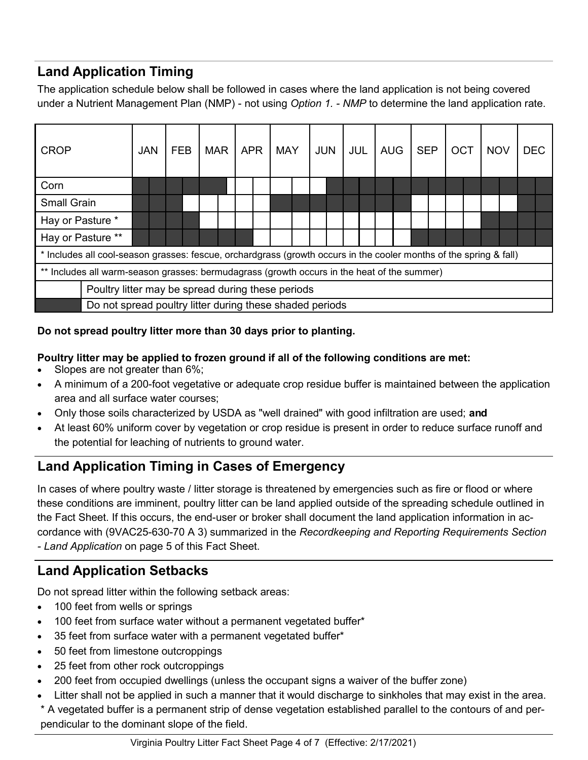# **Land Application Timing**

The application schedule below shall be followed in cases where the land application is not being covered under a Nutrient Management Plan (NMP) - not using *Option 1. - NMP* to determine the land application rate.

| <b>CROP</b>                                                                                 | <b>JAN</b>                                                                                                         |  | <b>FEB</b> |  | <b>MAR</b> |  | <b>APR</b> |  | <b>MAY</b> |  | <b>JUN</b> |  | <b>JUL</b> | <b>AUG</b> | <b>SEP</b> |  | <b>OCT</b> | <b>NOV</b> | <b>DEC</b> |  |
|---------------------------------------------------------------------------------------------|--------------------------------------------------------------------------------------------------------------------|--|------------|--|------------|--|------------|--|------------|--|------------|--|------------|------------|------------|--|------------|------------|------------|--|
| Corn                                                                                        |                                                                                                                    |  |            |  |            |  |            |  |            |  |            |  |            |            |            |  |            |            |            |  |
| <b>Small Grain</b>                                                                          |                                                                                                                    |  |            |  |            |  |            |  |            |  |            |  |            |            |            |  |            |            |            |  |
| Hay or Pasture *                                                                            |                                                                                                                    |  |            |  |            |  |            |  |            |  |            |  |            |            |            |  |            |            |            |  |
| Hay or Pasture **                                                                           |                                                                                                                    |  |            |  |            |  |            |  |            |  |            |  |            |            |            |  |            |            |            |  |
|                                                                                             | * Includes all cool-season grasses: fescue, orchardgrass (growth occurs in the cooler months of the spring & fall) |  |            |  |            |  |            |  |            |  |            |  |            |            |            |  |            |            |            |  |
| ** Includes all warm-season grasses: bermudagrass (growth occurs in the heat of the summer) |                                                                                                                    |  |            |  |            |  |            |  |            |  |            |  |            |            |            |  |            |            |            |  |
| Poultry litter may be spread during these periods                                           |                                                                                                                    |  |            |  |            |  |            |  |            |  |            |  |            |            |            |  |            |            |            |  |
| Do not spread poultry litter during these shaded periods                                    |                                                                                                                    |  |            |  |            |  |            |  |            |  |            |  |            |            |            |  |            |            |            |  |

### **Do not spread poultry litter more than 30 days prior to planting.**

#### **Poultry litter may be applied to frozen ground if all of the following conditions are met:**

- Slopes are not greater than 6%;
- A minimum of a 200-foot vegetative or adequate crop residue buffer is maintained between the application area and all surface water courses;
- Only those soils characterized by USDA as "well drained" with good infiltration are used; **and**
- At least 60% uniform cover by vegetation or crop residue is present in order to reduce surface runoff and the potential for leaching of nutrients to ground water.

# **Land Application Timing in Cases of Emergency**

In cases of where poultry waste / litter storage is threatened by emergencies such as fire or flood or where these conditions are imminent, poultry litter can be land applied outside of the spreading schedule outlined in the Fact Sheet. If this occurs, the end-user or broker shall document the land application information in accordance with (9VAC25-630-70 A 3) summarized in the *Recordkeeping and Reporting Requirements Section - Land Application* on page 5 of this Fact Sheet.

# **Land Application Setbacks**

Do not spread litter within the following setback areas:

- 100 feet from wells or springs
- 100 feet from surface water without a permanent vegetated buffer\*
- 35 feet from surface water with a permanent vegetated buffer\*
- 50 feet from limestone outcroppings
- 25 feet from other rock outcroppings
- 200 feet from occupied dwellings (unless the occupant signs a waiver of the buffer zone)
- Litter shall not be applied in such a manner that it would discharge to sinkholes that may exist in the area.
- \* A vegetated buffer is a permanent strip of dense vegetation established parallel to the contours of and perpendicular to the dominant slope of the field.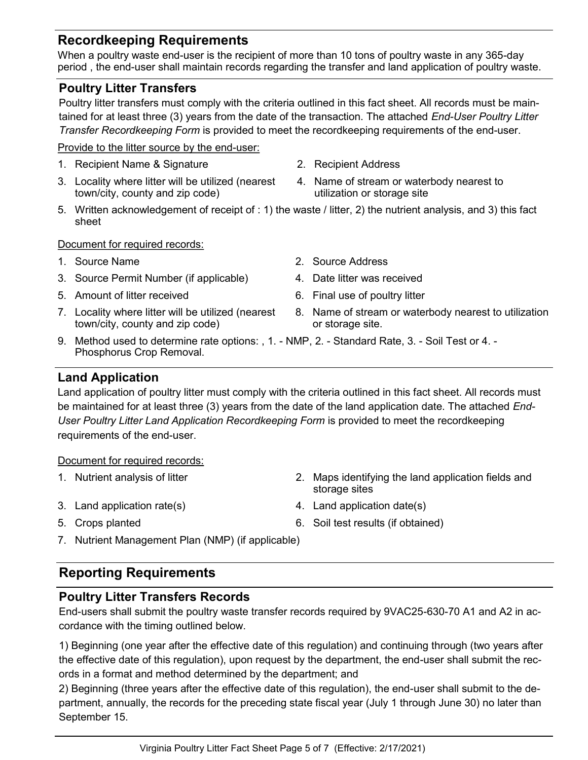## **Recordkeeping Requirements**

When a poultry waste end-user is the recipient of more than 10 tons of poultry waste in any 365-day period , the end-user shall maintain records regarding the transfer and land application of poultry waste.

#### **Poultry Litter Transfers**

Poultry litter transfers must comply with the criteria outlined in this fact sheet. All records must be maintained for at least three (3) years from the date of the transaction. The attached *End-User Poultry Litter Transfer Recordkeeping Form* is provided to meet the recordkeeping requirements of the end-user.

#### Provide to the litter source by the end-user:

- 1. Recipient Name & Signature 2. Recipient Address
- 3. Locality where litter will be utilized (nearest town/city, county and zip code)
- 
- 4. Name of stream or waterbody nearest to utilization or storage site
- 5. Written acknowledgement of receipt of : 1) the waste / litter, 2) the nutrient analysis, and 3) this fact sheet

#### Document for required records:

- 
- 3. Source Permit Number (if applicable) 4. Date litter was received
- 5. Amount of litter received **6.** Final use of poultry litter
- 7. Locality where litter will be utilized (nearest town/city, county and zip code)
- 
- 1. Source Name 2. Source Address
	-
	-
	- 8. Name of stream or waterbody nearest to utilization or storage site.
- 9. Method used to determine rate options: , 1. NMP, 2. Standard Rate, 3. Soil Test or 4. Phosphorus Crop Removal.

#### **Land Application**

Land application of poultry litter must comply with the criteria outlined in this fact sheet. All records must be maintained for at least three (3) years from the date of the land application date. The attached *End-User Poultry Litter Land Application Recordkeeping Form* is provided to meet the recordkeeping requirements of the end-user.

#### Document for required records:

- 
- 
- 
- 1. Nutrient analysis of litter 2. Maps identifying the land application fields and storage sites
- 3. Land application rate(s) 4. Land application date(s)
- 5. Crops planted 6. Soil test results (if obtained)
- 7. Nutrient Management Plan (NMP) (if applicable)

## **Reporting Requirements**

## **Poultry Litter Transfers Records**

End-users shall submit the poultry waste transfer records required by 9VAC25-630-70 A1 and A2 in accordance with the timing outlined below.

1) Beginning (one year after the effective date of this regulation) and continuing through (two years after the effective date of this regulation), upon request by the department, the end-user shall submit the records in a format and method determined by the department; and

2) Beginning (three years after the effective date of this regulation), the end-user shall submit to the department, annually, the records for the preceding state fiscal year (July 1 through June 30) no later than September 15.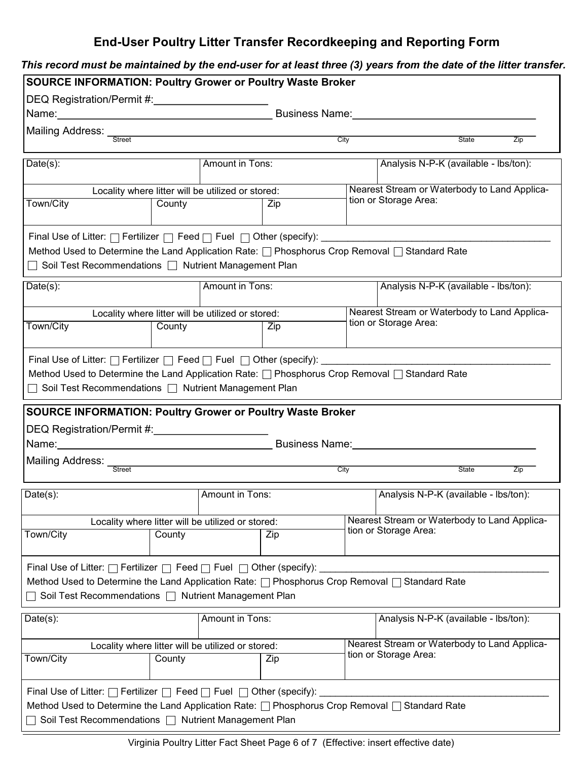# **End-User Poultry Litter Transfer Recordkeeping and Reporting Form**

| DEQ Registration/Permit #: 1997 1998                                                                                                                                                                                                             | <b>SOURCE INFORMATION: Poultry Grower or Poultry Waste Broker</b> |                                                          |                              |      |                                                                          |     |  |  |  |
|--------------------------------------------------------------------------------------------------------------------------------------------------------------------------------------------------------------------------------------------------|-------------------------------------------------------------------|----------------------------------------------------------|------------------------------|------|--------------------------------------------------------------------------|-----|--|--|--|
| Name: 2008 2009 2010 2021 2022 2023 2024 2022 2022 2023 2024 2022 2023 2024 2022 2023 2024 2022 2023 2024 2025                                                                                                                                   |                                                                   |                                                          |                              |      | Business Name: Name: Name and South Assembly Proposed and South Assembly |     |  |  |  |
|                                                                                                                                                                                                                                                  |                                                                   |                                                          |                              |      |                                                                          |     |  |  |  |
|                                                                                                                                                                                                                                                  |                                                                   |                                                          |                              | City | State                                                                    | Zip |  |  |  |
| $Date(s)$ :                                                                                                                                                                                                                                      |                                                                   | Amount in Tons:                                          |                              |      | Analysis N-P-K (available - lbs/ton):                                    |     |  |  |  |
|                                                                                                                                                                                                                                                  |                                                                   | Locality where litter will be utilized or stored:        |                              |      | Nearest Stream or Waterbody to Land Applica-                             |     |  |  |  |
| Town/City                                                                                                                                                                                                                                        | County                                                            |                                                          | tion or Storage Area:<br>Zip |      |                                                                          |     |  |  |  |
| Final Use of Litter: □ Fertilizer □ Feed □ Fuel □ Other (specify): ____________<br>Method Used to Determine the Land Application Rate: nethosphorus Crop Removal no Standard Rate<br>□ Soil Test Recommendations □ Nutrient Management Plan      |                                                                   |                                                          |                              |      |                                                                          |     |  |  |  |
| $Date(s)$ :                                                                                                                                                                                                                                      |                                                                   | Amount in Tons:                                          |                              |      | Analysis N-P-K (available - lbs/ton):                                    |     |  |  |  |
|                                                                                                                                                                                                                                                  |                                                                   | Locality where litter will be utilized or stored:        |                              |      | Nearest Stream or Waterbody to Land Applica-                             |     |  |  |  |
| Town/City                                                                                                                                                                                                                                        | County                                                            |                                                          | Zip                          |      | tion or Storage Area:                                                    |     |  |  |  |
| □ Soil Test Recommendations □ Nutrient Management Plan<br><b>SOURCE INFORMATION: Poultry Grower or Poultry Waste Broker</b>                                                                                                                      |                                                                   |                                                          |                              |      |                                                                          |     |  |  |  |
| Name: Name and the service of the service of the service of the service of the service of the service of the service of the service of the service of the service of the service of the service of the service of the service                    |                                                                   |                                                          | Business Name: 1997          |      |                                                                          |     |  |  |  |
|                                                                                                                                                                                                                                                  |                                                                   |                                                          | City                         |      | <b>State</b>                                                             | Zip |  |  |  |
| Date(s):                                                                                                                                                                                                                                         |                                                                   | Amount in Tons:                                          |                              |      | Analysis N-P-K (available - lbs/ton):                                    |     |  |  |  |
|                                                                                                                                                                                                                                                  | County                                                            | Locality where litter will be utilized or stored:<br>Zip |                              |      | Nearest Stream or Waterbody to Land Applica-<br>tion or Storage Area:    |     |  |  |  |
| Town/City                                                                                                                                                                                                                                        |                                                                   |                                                          |                              |      |                                                                          |     |  |  |  |
| Final Use of Litter: $\Box$ Fertilizer $\Box$ Feed $\Box$ Fuel $\Box$ Other (specify):<br>Method Used to Determine the Land Application Rate: nethosphorus Crop Removal no Standard Rate<br>Soil Test Recommendations   Nutrient Management Plan |                                                                   |                                                          |                              |      |                                                                          |     |  |  |  |
|                                                                                                                                                                                                                                                  |                                                                   | <b>Amount in Tons:</b>                                   |                              |      | Analysis N-P-K (available - lbs/ton):                                    |     |  |  |  |
|                                                                                                                                                                                                                                                  |                                                                   | Locality where litter will be utilized or stored:        |                              |      | Nearest Stream or Waterbody to Land Applica-                             |     |  |  |  |
| Date(s):<br>Town/City                                                                                                                                                                                                                            | County                                                            | Zip                                                      |                              |      | tion or Storage Area:                                                    |     |  |  |  |

Virginia Poultry Litter Fact Sheet Page 6 of 7 (Effective: insert effective date)